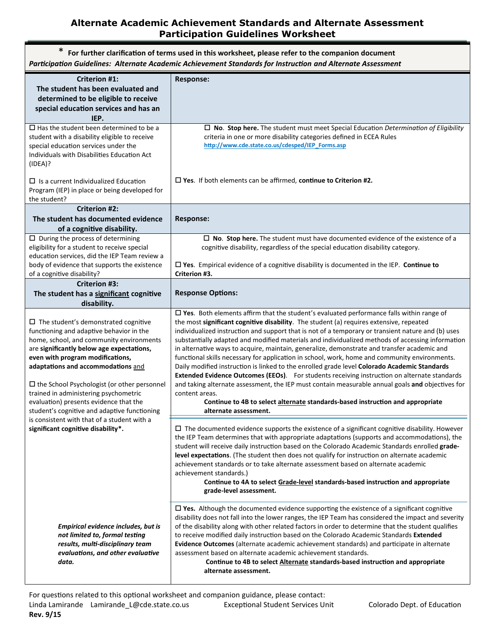## **Alternate Academic Achievement Standards and Alternate Assessment Participation Guidelines Worksheet**

| For further clarification of terms used in this worksheet, please refer to the companion document<br>Participation Guidelines: Alternate Academic Achievement Standards for Instruction and Alternate Assessment                                                                                                                                                                                                                                                                                                                            |                                                                                                                                                                                                                                                                                                                                                                                                                                                                                                                                                                                                                                                                                                                                                                                                                                                                                                                                                                                                                                          |  |
|---------------------------------------------------------------------------------------------------------------------------------------------------------------------------------------------------------------------------------------------------------------------------------------------------------------------------------------------------------------------------------------------------------------------------------------------------------------------------------------------------------------------------------------------|------------------------------------------------------------------------------------------------------------------------------------------------------------------------------------------------------------------------------------------------------------------------------------------------------------------------------------------------------------------------------------------------------------------------------------------------------------------------------------------------------------------------------------------------------------------------------------------------------------------------------------------------------------------------------------------------------------------------------------------------------------------------------------------------------------------------------------------------------------------------------------------------------------------------------------------------------------------------------------------------------------------------------------------|--|
| <b>Criterion #1:</b><br>The student has been evaluated and<br>determined to be eligible to receive<br>special education services and has an<br>IEP.                                                                                                                                                                                                                                                                                                                                                                                         | <b>Response:</b>                                                                                                                                                                                                                                                                                                                                                                                                                                                                                                                                                                                                                                                                                                                                                                                                                                                                                                                                                                                                                         |  |
| $\Box$ Has the student been determined to be a<br>student with a disability eligible to receive<br>special education services under the<br>Individuals with Disabilities Education Act<br>(IDEA)?                                                                                                                                                                                                                                                                                                                                           | $\Box$ No. Stop here. The student must meet Special Education Determination of Eligibility<br>criteria in one or more disability categories defined in ECEA Rules<br>http://www.cde.state.co.us/cdesped/IEP Forms.asp                                                                                                                                                                                                                                                                                                                                                                                                                                                                                                                                                                                                                                                                                                                                                                                                                    |  |
| $\Box$ Is a current Individualized Education<br>Program (IEP) in place or being developed for<br>the student?                                                                                                                                                                                                                                                                                                                                                                                                                               | $\square$ Yes. If both elements can be affirmed, continue to Criterion #2.                                                                                                                                                                                                                                                                                                                                                                                                                                                                                                                                                                                                                                                                                                                                                                                                                                                                                                                                                               |  |
| <b>Criterion #2:</b><br>The student has documented evidence<br>of a cognitive disability.                                                                                                                                                                                                                                                                                                                                                                                                                                                   | <b>Response:</b>                                                                                                                                                                                                                                                                                                                                                                                                                                                                                                                                                                                                                                                                                                                                                                                                                                                                                                                                                                                                                         |  |
| $\Box$ During the process of determining<br>eligibility for a student to receive special<br>education services, did the IEP Team review a<br>body of evidence that supports the existence<br>of a cognitive disability?                                                                                                                                                                                                                                                                                                                     | $\Box$ No. Stop here. The student must have documented evidence of the existence of a<br>cognitive disability, regardless of the special education disability category.<br>$\Box$ Yes. Empirical evidence of a cognitive disability is documented in the IEP. Continue to<br>Criterion #3.                                                                                                                                                                                                                                                                                                                                                                                                                                                                                                                                                                                                                                                                                                                                               |  |
| <b>Criterion #3:</b><br>The student has a significant cognitive<br>disability.                                                                                                                                                                                                                                                                                                                                                                                                                                                              | <b>Response Options:</b>                                                                                                                                                                                                                                                                                                                                                                                                                                                                                                                                                                                                                                                                                                                                                                                                                                                                                                                                                                                                                 |  |
| $\Box$ The student's demonstrated cognitive<br>functioning and adaptive behavior in the<br>home, school, and community environments<br>are significantly below age expectations,<br>even with program modifications,<br>adaptations and accommodations and<br>$\square$ the School Psychologist (or other personnel<br>trained in administering psychometric<br>evaluation) presents evidence that the<br>student's cognitive and adaptive functioning<br>is consistent with that of a student with a<br>significant cognitive disability*. | $\square$ Yes. Both elements affirm that the student's evaluated performance falls within range of<br>the most significant cognitive disability. The student (a) requires extensive, repeated<br>individualized instruction and support that is not of a temporary or transient nature and (b) uses<br>substantially adapted and modified materials and individualized methods of accessing information<br>in alternative ways to acquire, maintain, generalize, demonstrate and transfer academic and<br>functional skills necessary for application in school, work, home and community environments.<br>Daily modified instruction is linked to the enrolled grade level Colorado Academic Standards<br>Extended Evidence Outcomes (EEOs). For students receiving instruction on alternate standards<br>and taking alternate assessment, the IEP must contain measurable annual goals and objectives for<br>content areas.<br>Continue to 4B to select alternate standards-based instruction and appropriate<br>alternate assessment. |  |
|                                                                                                                                                                                                                                                                                                                                                                                                                                                                                                                                             | $\Box$ The documented evidence supports the existence of a significant cognitive disability. However<br>the IEP Team determines that with appropriate adaptations (supports and accommodations), the<br>student will receive daily instruction based on the Colorado Academic Standards enrolled grade-<br>level expectations. (The student then does not qualify for instruction on alternate academic<br>achievement standards or to take alternate assessment based on alternate academic<br>achievement standards.)<br>Continue to 4A to select Grade-level standards-based instruction and appropriate<br>grade-level assessment.                                                                                                                                                                                                                                                                                                                                                                                                   |  |
| Empirical evidence includes, but is<br>not limited to, formal testing<br>results, multi-disciplinary team<br>evaluations, and other evaluative<br>data.                                                                                                                                                                                                                                                                                                                                                                                     | $\square$ Yes. Although the documented evidence supporting the existence of a significant cognitive<br>disability does not fall into the lower ranges, the IEP Team has considered the impact and severity<br>of the disability along with other related factors in order to determine that the student qualifies<br>to receive modified daily instruction based on the Colorado Academic Standards Extended<br>Evidence Outcomes (alternate academic achievement standards) and participate in alternate<br>assessment based on alternate academic achievement standards.<br>Continue to 4B to select <b>Alternate</b> standards-based instruction and appropriate<br>alternate assessment.                                                                                                                                                                                                                                                                                                                                             |  |